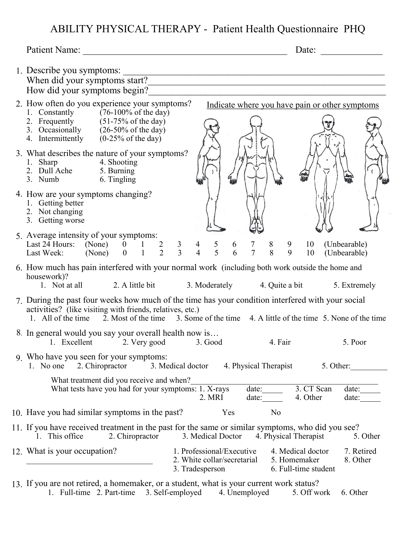## ABILITY PHYSICAL THERAPY - Patient Health Questionnaire PHQ

|                                                                                                                                                                                                                                                                          |                                                                             | Date:                                                     | $\begin{array}{ccccccccccccc} \multicolumn{2}{c }{\multicolumn{2}{c }{\multicolumn{2}{c }{\multicolumn{2}{c}{\multicolumn{2}{c}{\multicolumn{2}{c}{\multicolumn{2}{c}{\multicolumn{2}{c}{\multicolumn{2}{c}{\multicolumn{2}{c}{\multicolumn{2}{c}{\multicolumn{2}{c}{\multicolumn{2}{c}{\multicolumn{2}{c}{\multicolumn{2}{c}{\multicolumn{2}{c}{\multicolumn{2}{c}{\multicolumn{2}{c}{\textbf{1}}}}}}}}}}\quad \multicolumn{2}{c}{\multicolumn{2}{c}{\multicolumn{2}{c}{\textbf{1}}$ |
|--------------------------------------------------------------------------------------------------------------------------------------------------------------------------------------------------------------------------------------------------------------------------|-----------------------------------------------------------------------------|-----------------------------------------------------------|---------------------------------------------------------------------------------------------------------------------------------------------------------------------------------------------------------------------------------------------------------------------------------------------------------------------------------------------------------------------------------------------------------------------------------------------------------------------------------------|
| 1. Describe you symptoms:<br>Describe you symptoms:<br>When did your symptoms start?<br>How did your symptoms begin?                                                                                                                                                     |                                                                             |                                                           |                                                                                                                                                                                                                                                                                                                                                                                                                                                                                       |
| 2. How often do you experience your symptoms?<br>1. Constantly $(76-100\% \text{ of the day})$<br>2. Frequently (51-75% of the day)<br>3. Occasionally (26-50% of the day)<br>4. Intermittently $(0-25\% \text{ of the day})$                                            | Indicate where you have pain or other symptoms                              |                                                           |                                                                                                                                                                                                                                                                                                                                                                                                                                                                                       |
| 3. What describes the nature of your symptoms?<br>1. Sharp 4. Shooting<br>2. Dull Ache 5. Burning<br>3. Numb 6. Tingling                                                                                                                                                 |                                                                             |                                                           |                                                                                                                                                                                                                                                                                                                                                                                                                                                                                       |
| 4. How are your symptoms changing?<br>1. Getting better<br>2. Not changing<br>3. Getting worse                                                                                                                                                                           |                                                                             |                                                           |                                                                                                                                                                                                                                                                                                                                                                                                                                                                                       |
| 5. Average intensity of your symptoms:<br>Last 24 Hours: (None) 0 1 2 3 4 5 6 7 8 9 10<br>Last Week: (None) 0 1 2 3 4 5 6 7 8 9 10                                                                                                                                       |                                                                             |                                                           | (Unbearable)<br>(Unbearable)                                                                                                                                                                                                                                                                                                                                                                                                                                                          |
| 6. How much has pain interfered with your normal work (including both work outside the home and<br>housework)?<br>1. Not at all                                                                                                                                          | 2. A little bit 3. Moderately                                               | 4. Quite a bit                                            | 5. Extremely                                                                                                                                                                                                                                                                                                                                                                                                                                                                          |
| 7. During the past four weeks how much of the time has your condition interfered with your social<br>activities? (like visiting with friends, relatives, etc.)<br>1. All of the time 2. Most of the time 3. Some of the time 4. A little of the time 5. None of the time |                                                                             |                                                           |                                                                                                                                                                                                                                                                                                                                                                                                                                                                                       |
| 8. In general would you say your overall health now is<br>1. Excellent 2. Very good                                                                                                                                                                                      | 3. Good                                                                     | 4. Fair                                                   | 5. Poor                                                                                                                                                                                                                                                                                                                                                                                                                                                                               |
| 9. Who have you seen for your symptoms:<br>2. Chiropractor<br>1. No one<br>3. Medical doctor                                                                                                                                                                             | 4. Physical Therapist                                                       | 5. Other:                                                 |                                                                                                                                                                                                                                                                                                                                                                                                                                                                                       |
| What treatment did you receive and when?<br>What tests have you had for your symptoms: 1. X-rays                                                                                                                                                                         | date:<br>2. MRI<br>date:                                                    | 3. CT Scan<br>4. Other                                    | date:<br>date:                                                                                                                                                                                                                                                                                                                                                                                                                                                                        |
| 10. Have you had similar symptoms in the past?                                                                                                                                                                                                                           | Yes                                                                         | No                                                        |                                                                                                                                                                                                                                                                                                                                                                                                                                                                                       |
| 11. If you have received treatment in the past for the same or similar symptoms, who did you see?<br>2. Chiropractor<br>1. This office                                                                                                                                   | 3. Medical Doctor                                                           | 4. Physical Therapist                                     | 5. Other                                                                                                                                                                                                                                                                                                                                                                                                                                                                              |
| 12. What is your occupation?                                                                                                                                                                                                                                             | 1. Professional/Executive<br>2. White collar/secretarial<br>3. Tradesperson | 4. Medical doctor<br>5. Homemaker<br>6. Full-time student | 7. Retired<br>8. Other                                                                                                                                                                                                                                                                                                                                                                                                                                                                |
| a Lamanialian ana                                                                                                                                                                                                                                                        |                                                                             |                                                           |                                                                                                                                                                                                                                                                                                                                                                                                                                                                                       |

If you are not retired, a homemaker, or a student, what is your current work status? 1. Full-time 2. Part-time 3. Self-employed 4. Unemployed 5. Off work 6. Other 13.